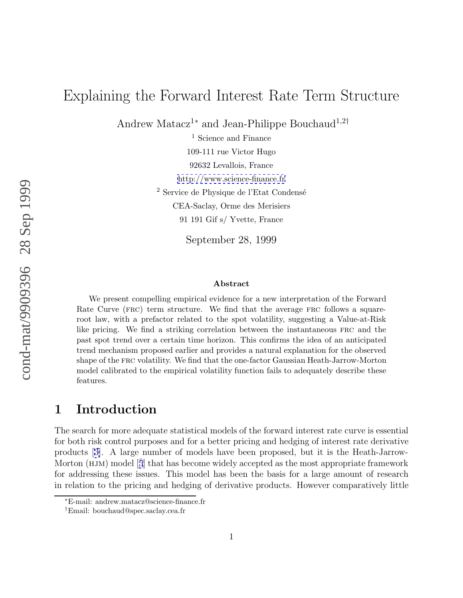# Explaining the Forward Interest Rate Term Structure

Andrew Matacz<sup>1\*</sup> and Jean-Philippe Bouchaud<sup>1,2†</sup>

<sup>1</sup> Science and Finance 109-111 rue Victor Hugo 92632 Levallois, France <http://www.science-finance.fr> <sup>2</sup> Service de Physique de l'Etat Condensé CEA-Saclay, Orme des Merisiers 91 191 Gif s/ Yvette, France

September 28, 1999

#### **Abstract**

We present compelling empirical evidence for a new interpretation of the Forward Rate Curve (FRC) term structure. We find that the average FRC follows a squareroot law, with a prefactor related to the spot volatility, suggesting a Value-at-Risk like pricing. We find a striking correlation between the instantaneous frc and the past spot trend over a certain time horizon. This confirms the idea of an anticipated trend mechanism proposed earlier and provides a natural explanation for the observed shape of the frc volatility. We find that the one-factor Gaussian Heath-Jarrow-Morton model calibrated to the empirical volatility function fails to adequately describe these features.

# **1 Introduction**

The search for more adequate statistical models of the forward interest rate curve is essential for both risk control purposes and for a better pricing and hedging of interest rate derivative products [[3\]](#page-7-0). A large number of models have been proposed, but it is the Heath-Jarrow-Morton (HJM) model [[5](#page-7-0)] that has become widely accepted as the most appropriate framework for addressing these issues. This model has been the basis for a large amount of research in relation to the pricing and hedging of derivative products. However comparatively little

<sup>∗</sup>E-mail: andrew.matacz@science-finance.fr

<sup>†</sup>Email: bouchaud@spec.saclay.cea.fr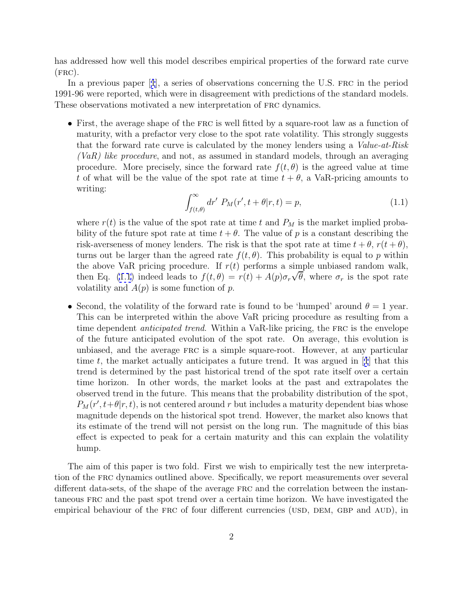<span id="page-1-0"></span>has addressed how well this model describes empirical properties of the forward rate curve  $(FRC).$ 

In a previous paper [[1](#page-7-0)], a series of observations concerning the U.S. FRC in the period 1991-96 were reported, which were in disagreement with predictions of the standard models. These observations motivated a new interpretation of FRC dynamics.

• First, the average shape of the FRC is well fitted by a square-root law as a function of maturity, with a prefactor very close to the spot rate volatility. This strongly suggests that the forward rate curve is calculated by the money lenders using a Value-at-Risk (VaR) like procedure, and not, as assumed in standard models, through an averaging procedure. More precisely, since the forward rate  $f(t, \theta)$  is the agreed value at time t of what will be the value of the spot rate at time  $t + \theta$ , a VaR-pricing amounts to writing:

$$
\int_{f(t,\theta)}^{\infty} dr' P_M(r', t + \theta | r, t) = p,
$$
\n(1.1)

where  $r(t)$  is the value of the spot rate at time t and  $P_M$  is the market implied probability of the future spot rate at time  $t + \theta$ . The value of p is a constant describing the risk-averseness of money lenders. The risk is that the spot rate at time  $t + \theta$ ,  $r(t + \theta)$ , turns out be larger than the agreed rate  $f(t, \theta)$ . This probability is equal to p within the above VaR pricing procedure. If  $r(t)$  performs a simple unbiased random walk, then Eq. (1.1) indeed leads to  $f(t, \theta) = r(t) + A(p)\sigma_r\sqrt{\theta}$ , where  $\sigma_r$  is the spot rate volatility and  $A(p)$  is some function of p.

• Second, the volatility of the forward rate is found to be 'humped' around  $\theta = 1$  year. This can be interpreted within the above VaR pricing procedure as resulting from a time dependent *anticipated trend*. Within a VaR-like pricing, the FRC is the envelope of the future anticipated evolution of the spot rate. On average, this evolution is unbiased, and the average frc is a simple square-root. However, at any particular time  $t$ , the market actually anticipates a future trend. It was argued in [[1](#page-7-0)] that this trend is determined by the past historical trend of the spot rate itself over a certain time horizon. In other words, the market looks at the past and extrapolates the observed trend in the future. This means that the probability distribution of the spot,  $P_M(r', t+\theta|r, t)$ , is not centered around r but includes a maturity dependent bias whose magnitude depends on the historical spot trend. However, the market also knows that its estimate of the trend will not persist on the long run. The magnitude of this bias effect is expected to peak for a certain maturity and this can explain the volatility hump.

The aim of this paper is two fold. First we wish to empirically test the new interpretation of the frc dynamics outlined above. Specifically, we report measurements over several different data-sets, of the shape of the average frc and the correlation between the instantaneous frc and the past spot trend over a certain time horizon. We have investigated the empirical behaviour of the FRC of four different currencies (USD, DEM, GBP and AUD), in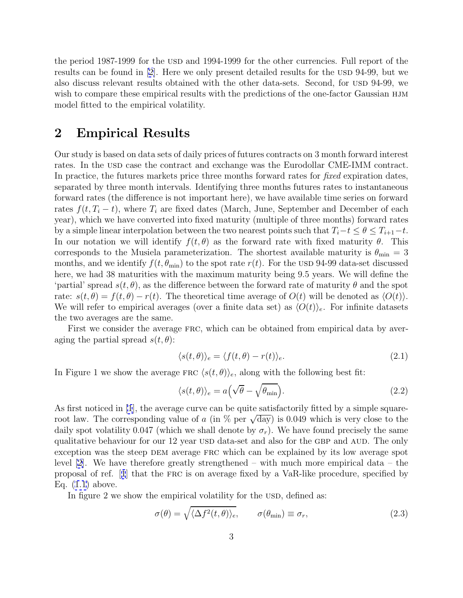the period 1987-1999 for the usp and 1994-1999 for the other currencies. Full report of the results can be found in  $[2]$  $[2]$ . Here we only present detailed results for the USD 94-99, but we also discuss relevant results obtained with the other data-sets. Second, for USD 94-99, we wish to compare these empirical results with the predictions of the one-factor Gaussian HJM model fitted to the empirical volatility.

### **2 Empirical Results**

Our study is based on data sets of daily prices of futures contracts on 3 month forward interest rates. In the USD case the contract and exchange was the Eurodollar CME-IMM contract. In practice, the futures markets price three months forward rates for *fixed* expiration dates, separated by three month intervals. Identifying three months futures rates to instantaneous forward rates (the difference is not important here), we have available time series on forward rates  $f(t, T_i - t)$ , where  $T_i$  are fixed dates (March, June, September and December of each year), which we have converted into fixed maturity (multiple of three months) forward rates by a simple linear interpolation between the two nearest points such that  $T_i-t \leq \theta \leq T_{i+1}-t$ . In our notation we will identify  $f(t, \theta)$  as the forward rate with fixed maturity  $\theta$ . This corresponds to the Musiela parameterization. The shortest available maturity is  $\theta_{\min} = 3$ months, and we identify  $f(t, \theta_{\min})$  to the spot rate  $r(t)$ . For the USD 94-99 data-set discussed here, we had 38 maturities with the maximum maturity being 9.5 years. We will define the 'partial' spread  $s(t, \theta)$ , as the difference between the forward rate of maturity  $\theta$  and the spot rate:  $s(t, \theta) = f(t, \theta) - r(t)$ . The theoretical time average of  $O(t)$  will be denoted as  $\langle O(t) \rangle$ . We will refer to empirical averages (over a finite data set) as  $\langle O(t)\rangle_e$ . For infinite datasets the two averages are the same.

First we consider the average frc, which can be obtained from empirical data by averaging the partial spread  $s(t, \theta)$ :

$$
\langle s(t,\theta) \rangle_e = \langle f(t,\theta) - r(t) \rangle_e. \tag{2.1}
$$

In Figure 1 we show the average FRC  $\langle s(t, \theta) \rangle_e$ , along with the following best fit:

$$
\langle s(t,\theta) \rangle_e = a \Big( \sqrt{\theta} - \sqrt{\theta_{\min}} \Big). \tag{2.2}
$$

As first noticed in [\[1](#page-7-0)], the average curve can be quite satisfactorily fitted by a simple squareroot law. The corresponding value of a (in  $\%$  per  $\sqrt{day}$ ) is 0.049 which is very close to the daily spot volatility 0.047 (which we shall denote by  $\sigma_r$ ). We have found precisely the same qualitative behaviour for our 12 year USD data-set and also for the GBP and AUD. The only exception was the steep DEM average FRC which can be explained by its low average spot level [[2\]](#page-7-0). We have therefore greatly strengthened – with much more empirical data – the proposal of ref. [[1](#page-7-0)] that the frc is on average fixed by a VaR-like procedure, specified by Eq. [\(1.1](#page-1-0)) above.

In figure 2 we show the empirical volatility for the USD, defined as:

$$
\sigma(\theta) = \sqrt{\langle \Delta f^2(t, \theta) \rangle_e}, \qquad \sigma(\theta_{\min}) \equiv \sigma_r, \qquad (2.3)
$$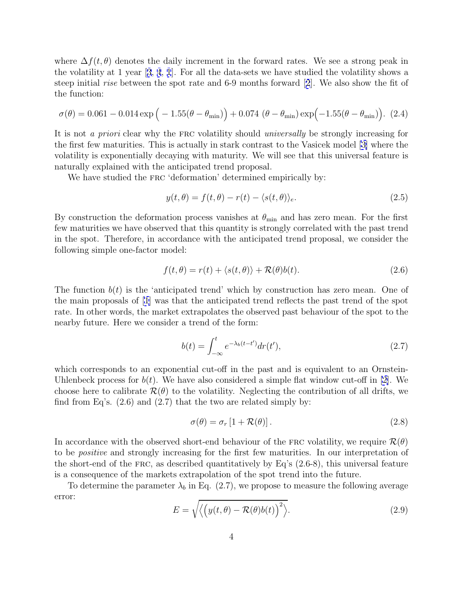where  $\Delta f(t, \theta)$  denotes the daily increment in the forward rates. We see a strong peak in the volatility at 1 year [[3](#page-7-0), [4](#page-7-0), [1](#page-7-0)]. For all the data-sets we have studied the volatility shows a steep initial rise between the spot rate and 6-9 months forward [[2](#page-7-0)]. We also show the fit of the function:

$$
\sigma(\theta) = 0.061 - 0.014 \exp\left(-1.55(\theta - \theta_{\min})\right) + 0.074 \left(\theta - \theta_{\min}\right) \exp\left(-1.55(\theta - \theta_{\min})\right). (2.4)
$$

It is not a priori clear why the FRC volatility should universally be strongly increasing for the first few maturities. This is actually in stark contrast to the Vasicek model [\[3\]](#page-7-0) where the volatility is exponentially decaying with maturity. We will see that this universal feature is naturally explained with the anticipated trend proposal.

We have studied the FRC 'deformation' determined empirically by:

$$
y(t,\theta) = f(t,\theta) - r(t) - \langle s(t,\theta) \rangle_e.
$$
 (2.5)

By construction the deformation process vanishes at  $\theta_{\min}$  and has zero mean. For the first few maturities we have observed that this quantity is strongly correlated with the past trend in the spot. Therefore, in accordance with the anticipated trend proposal, we consider the following simple one-factor model:

$$
f(t, \theta) = r(t) + \langle s(t, \theta) \rangle + \mathcal{R}(\theta)b(t). \tag{2.6}
$$

The function  $b(t)$  is the 'anticipated trend' which by construction has zero mean. One of the main proposals of [\[1](#page-7-0)] was that the anticipated trend reflects the past trend of the spot rate. In other words, the market extrapolates the observed past behaviour of the spot to the nearby future. Here we consider a trend of the form:

$$
b(t) = \int_{-\infty}^{t} e^{-\lambda_b(t-t')} dr(t'), \qquad (2.7)
$$

which corresponds to an exponential cut-off in the past and is equivalent to an Ornstein-Uhlenbeck process for  $b(t)$ . We have also considered a simple flat window cut-off in [\[2\]](#page-7-0). We choose here to calibrate  $\mathcal{R}(\theta)$  to the volatility. Neglecting the contribution of all drifts, we find from Eq's.  $(2.6)$  and  $(2.7)$  that the two are related simply by:

$$
\sigma(\theta) = \sigma_r [1 + \mathcal{R}(\theta)]. \tag{2.8}
$$

In accordance with the observed short-end behaviour of the FRC volatility, we require  $\mathcal{R}(\theta)$ to be positive and strongly increasing for the first few maturities. In our interpretation of the short-end of the FRC, as described quantitatively by Eq's  $(2.6-8)$ , this universal feature is a consequence of the markets extrapolation of the spot trend into the future.

To determine the parameter  $\lambda_b$  in Eq. (2.7), we propose to measure the following average error:

$$
E = \sqrt{\langle \left( y(t,\theta) - \mathcal{R}(\theta)b(t) \right)^2 \rangle}.
$$
 (2.9)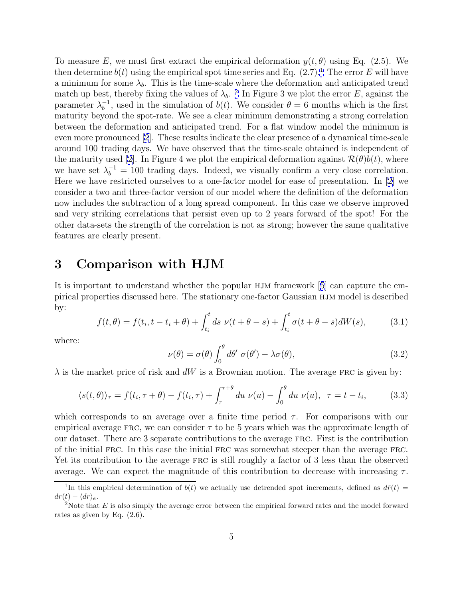To measure E, we must first extract the empirical deformation  $y(t, \theta)$  using Eq. (2.5). We then determine  $b(t)$  using the empirical spot time series and Eq.  $(2.7).$ <sup>1</sup> The error E will have a minimum for some  $\lambda_b$ . This is the time-scale where the deformation and anticipated trend match up best, thereby fixing the values of  $\lambda_b$ . <sup>2</sup> In Figure 3 we plot the error E, against the parameter  $\lambda_b^{-1}$ , used in the simulation of  $b(t)$ . We consider  $\theta = 6$  months which is the first maturity beyond the spot-rate. We see a clear minimum demonstrating a strong correlation between the deformation and anticipated trend. For a flat window model the minimum is even more pronounced [\[2](#page-7-0)]. These results indicate the clear presence of a dynamical time-scale around 100 trading days. We have observed that the time-scale obtained is independent of the maturity used [\[2\]](#page-7-0). In Figure 4 we plot the empirical deformation against  $\mathcal{R}(\theta) b(t)$ , where we have set  $\lambda_b^{-1} = 100$  trading days. Indeed, we visually confirm a very close correlation. Here we have restricted ourselves to a one-factor model for ease of presentation. In [\[2\]](#page-7-0) we consider a two and three-factor version of our model where the definition of the deformation now includes the subtraction of a long spread component. In this case we observe improved and very striking correlations that persist even up to 2 years forward of the spot! For the other data-sets the strength of the correlation is not as strong; however the same qualitative features are clearly present.

### **3 Comparison with HJM**

It is important to understand whether the popular HJM framework [[5](#page-7-0)] can capture the empirical properties discussed here. The stationary one-factor Gaussian hjm model is described by:

$$
f(t, \theta) = f(t_i, t - t_i + \theta) + \int_{t_i}^t ds \ \nu(t + \theta - s) + \int_{t_i}^t \sigma(t + \theta - s) dW(s), \tag{3.1}
$$

where:

$$
\nu(\theta) = \sigma(\theta) \int_0^{\theta} d\theta' \ \sigma(\theta') - \lambda \sigma(\theta), \tag{3.2}
$$

 $\lambda$  is the market price of risk and dW is a Brownian motion. The average FRC is given by:

$$
\langle s(t,\theta)\rangle_{\tau} = f(t_i, \tau + \theta) - f(t_i, \tau) + \int_{\tau}^{\tau + \theta} du \ \nu(u) - \int_0^{\theta} du \ \nu(u), \ \ \tau = t - t_i,
$$
 (3.3)

which corresponds to an average over a finite time period  $\tau$ . For comparisons with our empirical average FRC, we can consider  $\tau$  to be 5 years which was the approximate length of our dataset. There are 3 separate contributions to the average frc. First is the contribution of the initial frc. In this case the initial frc was somewhat steeper than the average frc. Yet its contribution to the average FRC is still roughly a factor of 3 less than the observed average. We can expect the magnitude of this contribution to decrease with increasing  $\tau$ .

<sup>&</sup>lt;sup>1</sup>In this empirical determination of  $b(t)$  we actually use detrended spot increments, defined as  $d\hat{r}(t)$  =  $dr(t) - \langle dr \rangle_e$ .<br><sup>2</sup>Note that E is also simply the average error between the empirical forward rates and the model forward

rates as given by Eq. (2.6).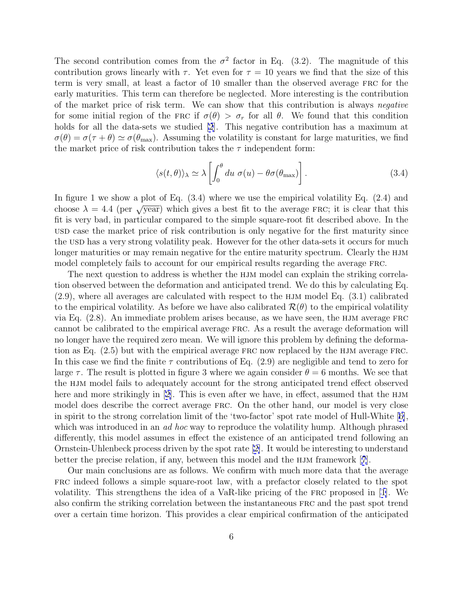The second contribution comes from the  $\sigma^2$  factor in Eq. (3.2). The magnitude of this contribution grows linearly with  $\tau$ . Yet even for  $\tau = 10$  years we find that the size of this term is very small, at least a factor of 10 smaller than the observed average frc for the early maturities. This term can therefore be neglected. More interesting is the contribution of the market price of risk term. We can show that this contribution is always negative for some initial region of the FRC if  $\sigma(\theta) > \sigma_r$  for all  $\theta$ . We found that this condition holds for all the data-sets we studied [\[2](#page-7-0)]. This negative contribution has a maximum at  $\sigma(\theta) = \sigma(\tau + \theta) \simeq \sigma(\theta_{\text{max}})$ . Assuming the volatility is constant for large maturities, we find the market price of risk contribution takes the  $\tau$  independent form:

$$
\langle s(t,\theta) \rangle_{\lambda} \simeq \lambda \left[ \int_0^{\theta} du \; \sigma(u) - \theta \sigma(\theta_{\text{max}}) \right]. \tag{3.4}
$$

In figure 1 we show a plot of Eq. (3.4) where we use the empirical volatility Eq. (2.4) and choose  $\lambda = 4.4$  (per  $\sqrt{year}$ ) which gives a best fit to the average FRC; it is clear that this fit is very bad, in particular compared to the simple square-root fit described above. In the usd case the market price of risk contribution is only negative for the first maturity since the USD has a very strong volatility peak. However for the other data-sets it occurs for much longer maturities or may remain negative for the entire maturity spectrum. Clearly the HJM model completely fails to account for our empirical results regarding the average FRC.

The next question to address is whether the HJM model can explain the striking correlation observed between the deformation and anticipated trend. We do this by calculating Eq.  $(2.9)$ , where all averages are calculated with respect to the HJM model Eq.  $(3.1)$  calibrated to the empirical volatility. As before we have also calibrated  $\mathcal{R}(\theta)$  to the empirical volatility via Eq.  $(2.8)$ . An immediate problem arises because, as we have seen, the HJM average FRC cannot be calibrated to the empirical average frc. As a result the average deformation will no longer have the required zero mean. We will ignore this problem by defining the deformation as Eq. (2.5) but with the empirical average frc now replaced by the hjm average frc. In this case we find the finite  $\tau$  contributions of Eq. (2.9) are negligible and tend to zero for large  $\tau$ . The result is plotted in figure 3 where we again consider  $\theta = 6$  months. We see that the hjm model fails to adequately account for the strong anticipated trend effect observed here and more strikingly in  $[2]$ . This is even after we have, in effect, assumed that the HJM model does describe the correct average frc. On the other hand, our model is very close in spirit to the strong correlation limit of the 'two-factor' spot rate model of Hull-White [[6\]](#page-7-0), which was introduced in an *ad hoc* way to reproduce the volatility hump. Although phrased differently, this model assumes in effect the existence of an anticipated trend following an Ornstein-Uhlenbeck process driven by the spot rate [[2\]](#page-7-0). It would be interesting to understand better the precise relation, if any, between this model and the  $HJM$  framework [[7](#page-7-0)].

Our main conclusions are as follows. We confirm with much more data that the average frc indeed follows a simple square-root law, with a prefactor closely related to the spot volatility. This strengthens the idea of a VaR-like pricing of the FRC proposed in  $[1]$  $[1]$ . We also confirm the striking correlation between the instantaneous frc and the past spot trend over a certain time horizon. This provides a clear empirical confirmation of the anticipated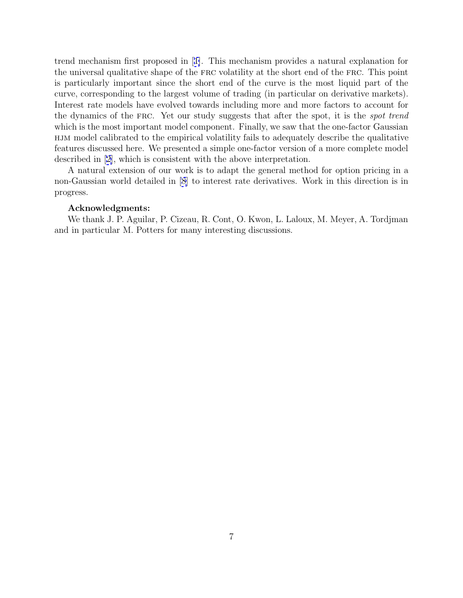trend mechanism first proposed in [[1\]](#page-7-0). This mechanism provides a natural explanation for the universal qualitative shape of the frc volatility at the short end of the frc. This point is particularly important since the short end of the curve is the most liquid part of the curve, corresponding to the largest volume of trading (in particular on derivative markets). Interest rate models have evolved towards including more and more factors to account for the dynamics of the frc. Yet our study suggests that after the spot, it is the spot trend which is the most important model component. Finally, we saw that the one-factor Gaussian hjm model calibrated to the empirical volatility fails to adequately describe the qualitative features discussed here. We presented a simple one-factor version of a more complete model described in [[2\]](#page-7-0), which is consistent with the above interpretation.

A natural extension of our work is to adapt the general method for option pricing in a non-Gaussian world detailed in [\[8](#page-7-0)] to interest rate derivatives. Work in this direction is in progress.

#### **Acknowledgments:**

We thank J. P. Aguilar, P. Cizeau, R. Cont, O. Kwon, L. Laloux, M. Meyer, A. Tordjman and in particular M. Potters for many interesting discussions.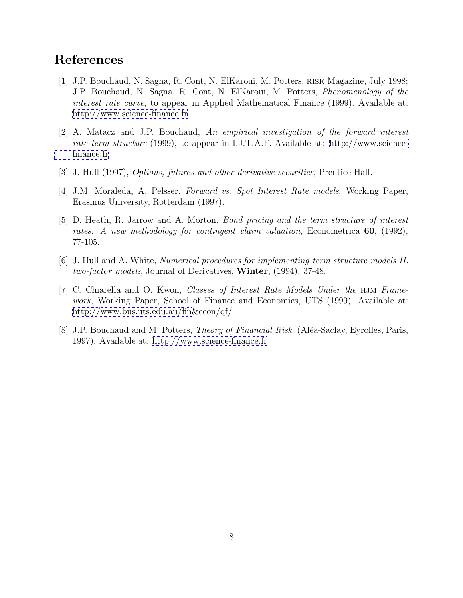# <span id="page-7-0"></span>**References**

- [1] J.P. Bouchaud, N. Sagna, R. Cont, N. ElKaroui, M. Potters, risk Magazine, July 1998; J.P. Bouchaud, N. Sagna, R. Cont, N. ElKaroui, M. Potters, Phenomenology of the interest rate curve, to appear in Applied Mathematical Finance (1999). Available at: <http://www.science-finance.fr>
- [2] A. Matacz and J.P. Bouchaud, An empirical investigation of the forward interest rate term structure (1999), to appear in I.J.T.A.F. Available at: [http://www.science](http://www.science-finance.fr)[finance.fr](http://www.science-finance.fr)
- [3] J. Hull (1997), Options, futures and other derivative securities, Prentice-Hall.
- [4] J.M. Moraleda, A. Pelsser, Forward vs. Spot Interest Rate models, Working Paper, Erasmus University, Rotterdam (1997).
- [5] D. Heath, R. Jarrow and A. Morton, Bond pricing and the term structure of interest rates: A new methodology for contingent claim valuation, Econometrica **60**, (1992), 77-105.
- [6] J. Hull and A. White, Numerical procedures for implementing term structure models II: two-factor models, Journal of Derivatives, **Winter**, (1994), 37-48.
- [7] C. Chiarella and O. Kwon, *Classes of Interest Rate Models Under the* HJM Framework, Working Paper, School of Finance and Economics, UTS (1999). Available at: [http://www.bus.uts.edu.au/fin&](http://www.bus.uts.edu.au/fin)econ/qf/
- [8] J.P. Bouchaud and M. Potters, *Theory of Financial Risk*, (Aléa-Saclay, Eyrolles, Paris, 1997). Available at:<http://www.science-finance.fr>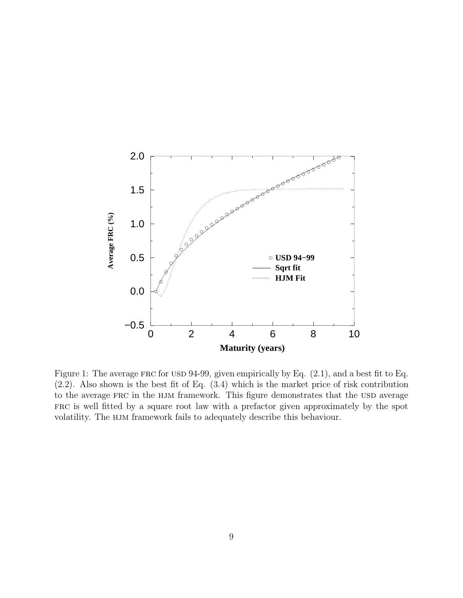

Figure 1: The average FRC for USD 94-99, given empirically by Eq.  $(2.1)$ , and a best fit to Eq. (2.2). Also shown is the best fit of Eq. (3.4) which is the market price of risk contribution to the average FRC in the HJM framework. This figure demonstrates that the USD average frc is well fitted by a square root law with a prefactor given approximately by the spot volatility. The HJM framework fails to adequately describe this behaviour.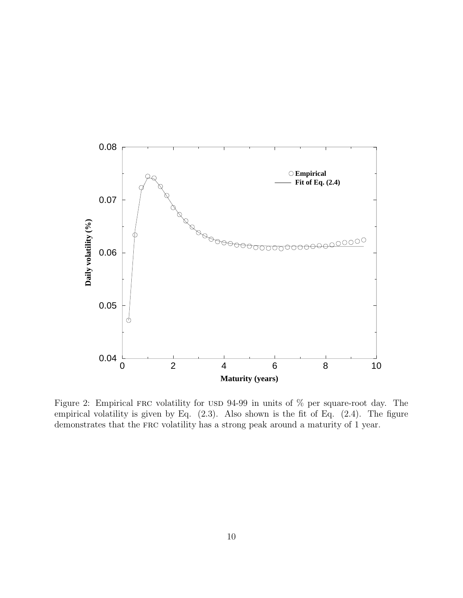

Figure 2: Empirical FRC volatility for USD 94-99 in units of  $\%$  per square-root day. The empirical volatility is given by Eq.  $(2.3)$ . Also shown is the fit of Eq.  $(2.4)$ . The figure demonstrates that the FRC volatility has a strong peak around a maturity of 1 year.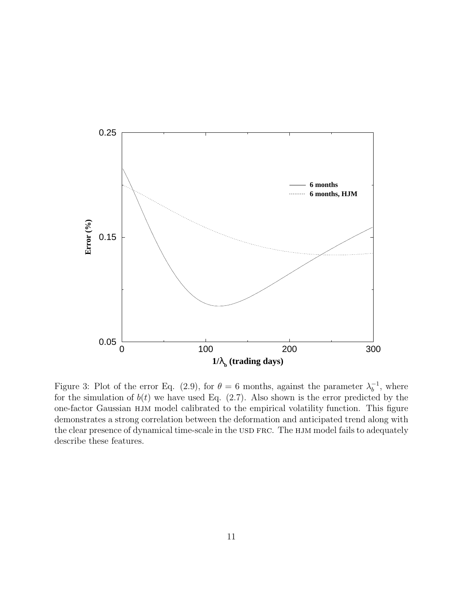

Figure 3: Plot of the error Eq. (2.9), for  $\theta = 6$  months, against the parameter  $\lambda_b^{-1}$ , where for the simulation of  $b(t)$  we have used Eq. (2.7). Also shown is the error predicted by the one-factor Gaussian HJM model calibrated to the empirical volatility function. This figure demonstrates a strong correlation between the deformation and anticipated trend along with the clear presence of dynamical time-scale in the USD FRC. The HJM model fails to adequately describe these features.